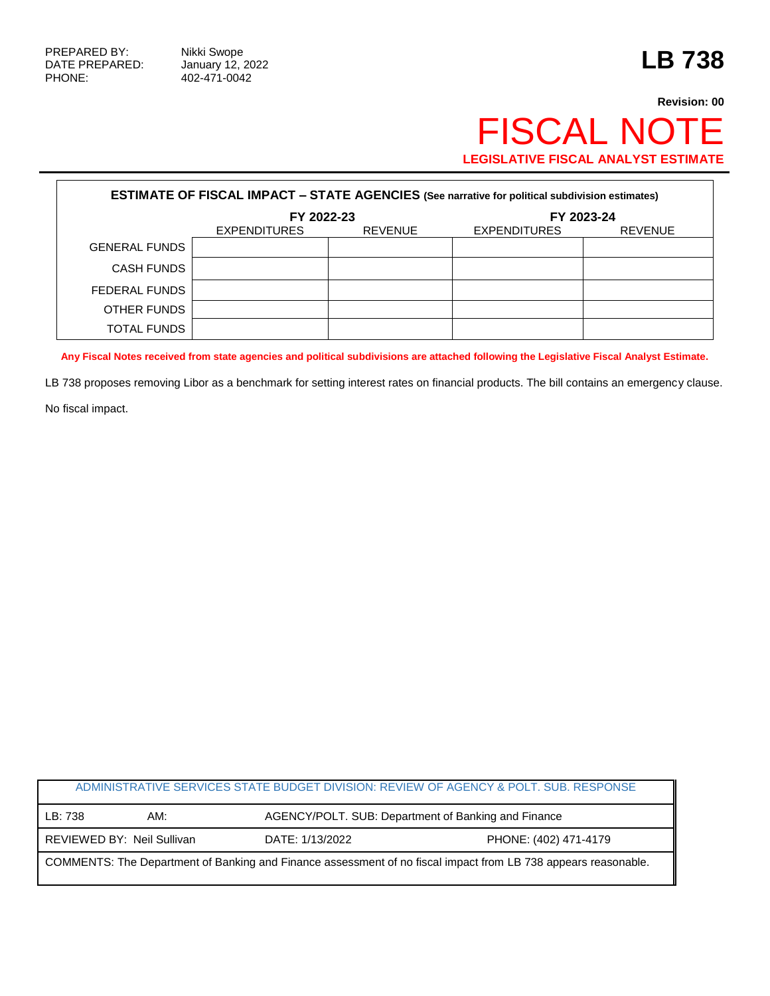PHONE: 402-471-0042

## **Revision: 00** FISCAL NOTE **LEGISLATIVE FISCAL ANALYST ESTIMATE**

| <b>ESTIMATE OF FISCAL IMPACT - STATE AGENCIES (See narrative for political subdivision estimates)</b> |                     |                |                     |                |  |
|-------------------------------------------------------------------------------------------------------|---------------------|----------------|---------------------|----------------|--|
|                                                                                                       | FY 2022-23          |                | FY 2023-24          |                |  |
|                                                                                                       | <b>EXPENDITURES</b> | <b>REVENUE</b> | <b>EXPENDITURES</b> | <b>REVENUE</b> |  |
| <b>GENERAL FUNDS</b>                                                                                  |                     |                |                     |                |  |
| CASH FUNDS                                                                                            |                     |                |                     |                |  |
| FEDERAL FUNDS                                                                                         |                     |                |                     |                |  |
| OTHER FUNDS                                                                                           |                     |                |                     |                |  |
| <b>TOTAL FUNDS</b>                                                                                    |                     |                |                     |                |  |

**Any Fiscal Notes received from state agencies and political subdivisions are attached following the Legislative Fiscal Analyst Estimate.**

LB 738 proposes removing Libor as a benchmark for setting interest rates on financial products. The bill contains an emergency clause.

No fiscal impact.

|                                                                                                                |                            |                 | ADMINISTRATIVE SERVICES STATE BUDGET DIVISION: REVIEW OF AGENCY & POLT. SUB. RESPONSE |  |  |
|----------------------------------------------------------------------------------------------------------------|----------------------------|-----------------|---------------------------------------------------------------------------------------|--|--|
| LB: 738                                                                                                        | AM:                        |                 | AGENCY/POLT. SUB: Department of Banking and Finance                                   |  |  |
|                                                                                                                | REVIEWED BY: Neil Sullivan | DATE: 1/13/2022 | PHONE: (402) 471-4179                                                                 |  |  |
| COMMENTS: The Department of Banking and Finance assessment of no fiscal impact from LB 738 appears reasonable. |                            |                 |                                                                                       |  |  |